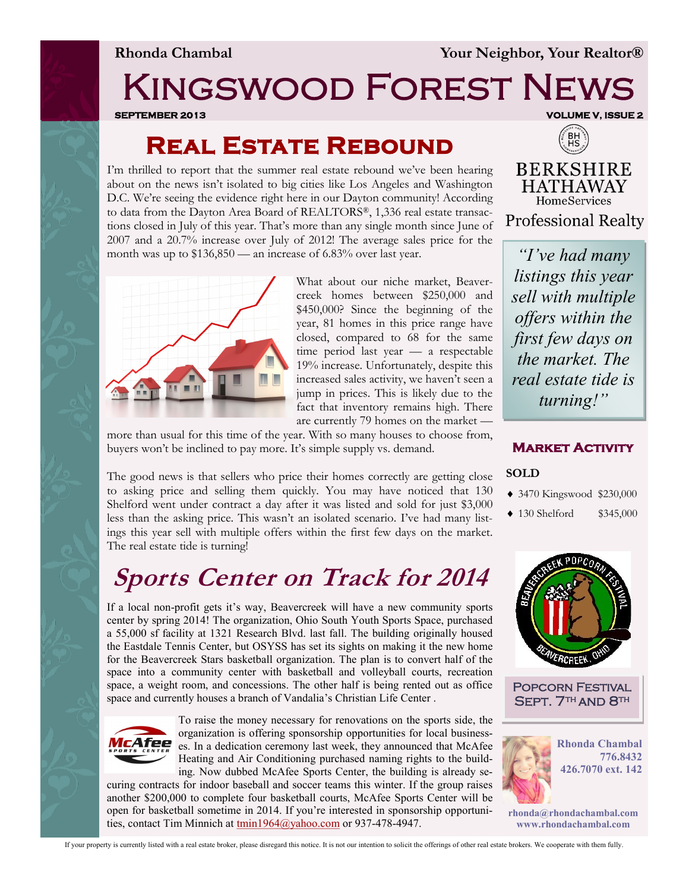**Rhonda Chambal Your Neighbor, Your Realtor®**

# Kingswood Forest News

**SEPTEMBER 2013 VOLUME V, ISSUE 2** 

### **Real Estate Rebound**

I'm thrilled to report that the summer real estate rebound we've been hearing about on the news isn't isolated to big cities like Los Angeles and Washington D.C. We're seeing the evidence right here in our Dayton community! According to data from the Dayton Area Board of REALTORS®, 1,336 real estate transactions closed in July of this year. That's more than any single month since June of 2007 and a 20.7% increase over July of 2012! The average sales price for the month was up to \$136,850 — an increase of 6.83% over last year.



What about our niche market, Beavercreek homes between \$250,000 and \$450,000? Since the beginning of the year, 81 homes in this price range have closed, compared to 68 for the same time period last year — a respectable 19% increase. Unfortunately, despite this increased sales activity, we haven't seen a jump in prices. This is likely due to the fact that inventory remains high. There are currently 79 homes on the market —

more than usual for this time of the year. With so many houses to choose from, buyers won't be inclined to pay more. It's simple supply vs. demand.

The good news is that sellers who price their homes correctly are getting close to asking price and selling them quickly. You may have noticed that 130 Shelford went under contract a day after it was listed and sold for just \$3,000 less than the asking price. This wasn't an isolated scenario. I've had many listings this year sell with multiple offers within the first few days on the market. The real estate tide is turning!

## **Sports Center on Track for 2014**

If a local non-profit gets it's way, Beavercreek will have a new community sports center by spring 2014! The organization, Ohio South Youth Sports Space, purchased a 55,000 sf facility at 1321 Research Blvd. last fall. The building originally housed the Eastdale Tennis Center, but OSYSS has set its sights on making it the new home for the Beavercreek Stars basketball organization. The plan is to convert half of the space into a community center with basketball and volleyball courts, recreation space, a weight room, and concessions. The other half is being rented out as office space and currently houses a branch of Vandalia's Christian Life Center .



To raise the money necessary for renovations on the sports side, the organization is offering sponsorship opportunities for local businesses. In a dedication ceremony last week, they announced that McAfee Heating and Air Conditioning purchased naming rights to the building. Now dubbed McAfee Sports Center, the building is already se-

curing contracts for indoor baseball and soccer teams this winter. If the group raises another \$200,000 to complete four basketball courts, McAfee Sports Center will be open for basketball sometime in 2014. If you're interested in sponsorship opportunities, contact Tim Minnich at [tmin1964@yahoo.com](mailto:tmin1964@yahoo.com) or 937-478-4947.



**BERKSHIRE HATHAWAY** HomeServices **Professional Realty** 

*"I've had many listings this year sell with multiple offers within the first few days on the market. The real estate tide is turning!"*

#### **Market Activity**

#### **SOLD**

- 3470 Kingswood \$230,000
- 130 Shelford \$345,000



Popcorn Festival SEPT. 7<sup>TH</sup> AND 8<sup>TH</sup>



**rhonda@rhondachambal.com www.rhondachambal.com**

If your property is currently listed with a real estate broker, please disregard this notice. It is not our intention to solicit the offerings of other real estate brokers. We cooperate with them fully.